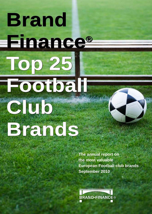# **Brand Finance® Top 25 Football**

**Club**

**Brands**

**The annual report on the most valuable European Football club brands September 2010**

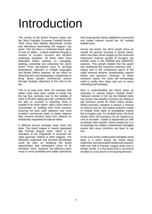# Introduction

The results of the Brand Finance report into the 'Most Valuable European Football Brands 2010' show Real Madrid, Manchester United and Barcelona dominating the league's top spots. The trio have a combined brand value of over £1 billion - a figure achieved through a mixture of on-pitch success and off-pitch marketing expertise. All three clubs have dedicated teams working on managing, building, extending and protecting the club's brand. From pre-season tours to far-flung destinations, websites in multiple languages and limited edition watches, all are intent on attracting fans and developing a relationship to bring about greater commercial returns through strategic alignment of the club to the fan.

This is no easy task. Note, for example, that Italian clubs have been unable to break into the top five, primarily due to the inability of clubs to fill their aging grounds, combined with the lack of success in exporting Serie A outside of its home nation. Italy's clubs need to concentrate on building their local markets, ensuring full (and safe) stadiums and more lucrative commercial deals to better balance their revenue streams away from reliance on individually negotiated broadcast deals.

A different picture emerges lower down the table. The brand league is heavily populated with Premier league clubs, which is an indication of the magnitude of revenues the clubs generate relative to other leagues. The efficiently organised and licensed Bundesliga could be seen as hindering the brand opportunities and subsequent value of its members' clubs. However, the efficiency does result in more profitable and stable operations

that could quickly attract additional commercial and media interest should the UK football bubble burst.

Across the board, the 2010 results show an overall 18 percent increase in Brand Value, which has been driven largely by the continued impressive revenue growth of Europe's top football clubs in the 2008/09 and 2009/2010 seasons. This growth implies that the game has weathered the economic downturn well – largely due to the contractual nature of the major revenue streams: broadcasting, season tickets and sponsors. However, as these contracts expire, the clubs will increasingly need to justify their value and turn to savvy marketing and branding.

Why is understanding the brand value so important in valuing today's football clubs? Takeover activity in UK top tier football clubs has proven that wealthy investors are willing to pay premium prices for these trophy assets. Whilst business valuation is always a mixture of science and art, the unique business model of football clubs (lack of profitability) makes this a tougher task. For football clubs, the fixed assets within the business can be valued (e.g. cost to recreate - stadia & equipment) as well as players (the transfer market deals) but it is increasingly the hidden Undisclosed Intangible assets that savvy investors are keen to tap into.

At the core of this Undisclosed Intangible asset base is a club's brand; the brand being trademark and associated intellectual property. With over half of Premier League clubs now in foreign hands, it is the brand that is commonly mooted as a key driver in the buying decision.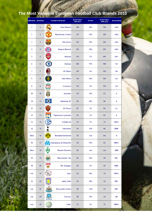# **The Most Valuable European Football Club Brands 2010**

|     | 2009 Rank 2010 Rank | ж<br><b>Football Club Brand</b>   | <b>Brand Value</b><br>2010 (£m) | <b>YoY BV</b> | <b>Brand Value</b><br>2009 (£m) | <b>Brand Rating</b> |  |
|-----|---------------------|-----------------------------------|---------------------------------|---------------|---------------------------------|---------------------|--|
| 2   | 1                   | <b>Real Madrid</b>                | 386                             | 29%           | 300                             | AAA                 |  |
| 1   | $\overline{2}$      | <b>Manchester United</b>          | 373                             | 13%           | 329                             | AAA                 |  |
| 3   | 3                   | <b>Barcelona</b>                  | 362                             | 36%           | 266                             | AAA                 |  |
| 4   | 4                   | <b>Bayern Munich</b>              | 301                             | 22%           | 247                             | AAA                 |  |
| 5   | 5                   | Arsenal                           | 215                             | 7%            | 201                             | AA+                 |  |
| 6   | 6                   | Chelsea                           | 200                             | 11%           | 180                             | AA                  |  |
| 7   | $\overline{I}$      | <b>AC Milan</b>                   | 167                             | 9%            | 154                             | AA                  |  |
| 9   | 8                   | <b>Inter Milan</b>                | 160                             | 60%           | 100                             | AA                  |  |
| 8   | 9                   | Liverpool                         | 141                             | 4%            | 136                             | AА                  |  |
| 10  | 10                  | <b>Juventus</b>                   | 127                             | 37%           | 93                              | А                   |  |
| 14  | 11                  | ♦<br><b>Hamburg SV</b>            | 96                              | 42%           | 68                              | А                   |  |
| 11  | 12                  | T<br><b>AS Roma</b>               | 87                              | 3%            | 84                              | A+                  |  |
| 12  | 13                  | <b>Olympique Lyonnais</b>         | 81                              | 2%            | 80                              | А                   |  |
| 13  | 14                  | Schalke 04                        | 79                              | 1%            | 78                              | BBB+                |  |
| 15  | 15                  | Tottenham                         | 76                              | 15%           | 66                              | BBB-                |  |
| New | 16                  | <b>Borussia Dortmund</b>          | 74                              | n/a           | n/a                             | А                   |  |
| 16  | 17                  | Olympique de Marseille            | 70                              | 13%           | 62                              | BBB+                |  |
| New | 18                  | <b>Werder Bremen</b>              | 56                              | n/a           | n/a                             | <b>BBB</b>          |  |
| 19  | 19                  | <b>Manchester City</b>            | 54                              | 23%           | 44                              | BB+                 |  |
| 18  | 20                  | IJŔ<br><b>Vfb Stuttgart</b>       | 52                              | 4%            | 50                              | BBB-                |  |
| n/a | 21                  | <b>A</b> A<br>Ajax                | 45                              | 16%           | 39                              | BBB+                |  |
| 23  | 22                  | <b>AVFC</b><br><b>Aston Villa</b> | 41                              | 29%           | 32                              | BB+                 |  |
| n/a | 23                  | <b>Newcastle United</b>           | 38                              | $-25%$        | 51                              | BB+                 |  |
| n/a | 24                  | Everton<br><b>Everton</b>         | 38                              | 11%           | 34                              | BВ                  |  |
| n/a | 25                  | Celtic                            | 37                              | 1%            | 37                              | BBB+                |  |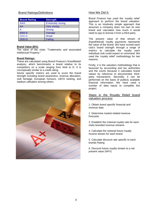#### Brand Ratings/Definitions

| <b>Brand Rating</b> | <b>Strength</b>         |
|---------------------|-------------------------|
| AAA                 | <b>Extremely strong</b> |
| AA                  | Very strong             |
| А                   | <b>Strong</b>           |
| <b>BBB-B</b>        | Average                 |
| CCC-C               | Weak                    |
| <b>DDD-D</b>        | Failing                 |

#### **Brand Value (BV):**

The value of the clubs "Trademarks and associated intellectual Property."

#### **Brand Ratings:**

These are calculated using Brand Finance's ßrandßeta® analysis, which benchmarks a brand relative to its competitors on a scale ranging from AAA to D. It is conceptually similar to a credit rating.

Sector specific metrics are used to score the brand strength including brand awareness, revenue allocation, club heritage, European honours, UEFA ranking, and stadium utilisation among others.



#### How We Did It:

Brand Finance has used the 'royalty relief' approach to perform the brand valuation. This is an intuitively simple approach that assumes a company does not own its own brand and calculates how much it would need to pay to license it from a third party.

The present value of that stream of (hypothetical) royalty payments represents the value of the brand. We have scored each club's brand strength through a range of metrics to calculate the royalty each individual club could expect to command. We used the 'royalty relief' methodology for two reasons.

Firstly, it is the valuation methodology that is favoured by accounting and tax authorities and the courts because it calculates brand values by reference to documented, thirdparty transactions. Secondly, it can be performed on the basis of publicly available financial information. We have used a number of data inputs to complete this project.

#### Steps in the Royalty Relief brand valuation process

1. Obtain brand specific financial and revenue data

2. Determine market related revenue forecasts

3. Establish the notional royalty rate for each clubs branded revenue streams

4. Calculate the notional future royalty income stream for each brand

5. Calculate discount rate specific to each brands Rating

6. Discount future royalty stream to a net present value (NPV)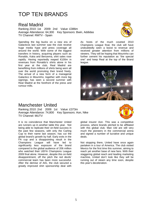# TOP TEN BRANDS

#### Real Madrid

Ranking 2010: 1st 2009: 2nd Value: £386m Average Attendance: 64,300 Key Sponsors: Bwin, Addidas TV Channel: RMTV - Spain



Spending the big bucks on a new era of Galacticos last summer saw the club receive huge media hype and press coverage all around the world. With some of the biggest transfers in history, acquiring players such as Ronaldo, Kaka and Benzema, shirt sales rose rapidly. Having reportedly reaped €100m in revenues from Ronaldo's shirts alone in his first year at the club, Real Madrid are benefitting from millions of shirts being worn all over the world promoting their brand freely. The arrival of a new form of a managerial Galactico in Mourinho, together with more big signings, has seen a second summer with Real Madrid at the forefront of the press and rumour mills.

As hosts of the much coveted 2010 Champions League final, the club will have undoubtedly seen a boost to revenue and received greater attention from millions of viewers. They will be hoping that Mourinho can further cement his reputation as "the special one" and keep Real at the top of the Brand league.



#### Manchester United

Ranking 2010: 2nd 2009: 1st Value: £373m Average Attendance: 74,800 Key Sponsors: Aon, Nike TV Channel: MUTV

global insurer Aon. This was a competitive

It is no coincidence that Manchester United are runners up in another table this year. Not being able to replicate their on-field success in the past few seasons, with only the Carling Cup to their name last season, has cut the global brand's growth by half. Early exits in the FA cup and a disappointing result in the Champions League will have led to significantly less exposure of the brand compared to the global audience of 206 million who watched their UEFA Champions League 2009 final alone. However, despite this on-field disappointment, off the pitch the red devils' commercial team has been more successful. After the demise of AIG, the club secured a greatly improved shirt sponsorship deal with

process, where brands pitched to be affiliated with this global club. Man Utd are still very much the pioneers in the commercial arena and signed a number of lucrative and unique deals.

Not stopping there, United have once again partaken in a tour of America. The club visited Mexico for the first time this summer, aiming to reach yet another base of new fans. With their staggering global reach and leading marketing machine, United don't look like they will be running out of steam any time soon, despite this year's deceleration.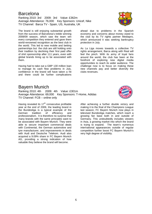# Barcelona

Ranking 2010: 3rd 2009: 3rd Value: £362m Average Attendance: 76,000 Key Sponsors: Unicef, Nike TV Channel: Barca TV - Spain, US, Australia, UK

The brand is still enjoying substantial growth from the success of Barcelona's treble winning 2008/09 season, which saw the team win every competition they entered and gave them world-renowned recognition as the best club in the world. This led to new mobile and betting partnerships but the club are still holding onto their tradition by declining their first paid offer of shirt sponsorship after 111 years, even with global brands lining up to be associated with them.

Having had to take out a GBP 130 million loan to manage its cash flow problems in July, confidence in the brand will have taken a hit and there could be further complications

### Bayern Munich

Ranking 2010: 4th 2009: 4th Value: £301m Average Attendance: 69,000 Key Sponsors: T-Home, Adidas TV Channel: FCB – online only

Having revealed its  $17<sup>th</sup>$  consecutive profitable year at the end of 2009, the leading brand in the Bundesliga is a typical example of the<br>German tradition of efficiency and German tradition of efficiency professionalism. It is therefore no surprise that many brands with the same principles want to be associated with Bayern Munich. They were able to secure important commercial deals with Continental, the German automotive and tyre manufacturer, and improvements in deals with Audi and Deutsche Telekom. Audi also acquired a 9.09% share in FC Bayern Munich AG, providing a strong indication of how valuable they believe the brand will become.

6

ahead due to problems in the Spanish economy and concerns about money owed to the club by its TV rights partner Mediapro, which announced it was seeking bankruptcy protection in July.

As La Liga moves towards a collective TV rights arrangement, Barca along with Real will feel the pinch. With its army of loyal fans around the world, the club has been at the forefront of exploring new digital media opportunities to reach its wider audience. The challenge now is to focus on making these new channels pay and better diversify the clubs revenues.

After achieving a further double victory and making it to the final of the Champions League last season, FC Bayern Munich now plays in televised Bundesliga matches, which reach a growing fan base both in and outside of Germany. This undoubtedly includes viewers in Asia, a growing market into which the brand is trying to expand. The team's numerous international appearances outside of regular competition further boost FC Bayern Munich's very high degree of visibility.

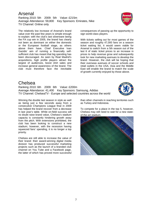Arsenal Ranking 2010: 5th 2009: 5th Value: £215m Average Attendance: 59,800 Key Sponsors: Emirates, Nike TV Channel: Online only

The relatively low increase of Arsenal's brand value over the past few years is simple enough to explain: with the club's last silverware being the FA cup win in 2005, the brand has clearly not been as dominant on either the domestic or the European football stage, as others above them have. Chief Executive Ivan Gazidis' aim of running a financially selfsufficient club has meant that big spending has been discouraged. As seen by Real Madrid's acquisitions, high profile players attract the largest of audiences, boost shirt sales and increase general awareness of the brand. The club must therefore face the inevitable



consequences of passing up the opportunity to sign world-class players.

With tickets selling out for most games of the season and roughly 47,000 fans on a season ticket waiting list, it would seem viable for Arsenal to switch from a 5th season out of the last 6 of static ticket prices to an increase in prices to help revenue grow and subsequently look for new marketing avenues to develop the brand. However, the club will be hoping that their overseas avenues of soccer schools and retail outlets in the USA, Asia and the Middle East will enable the brand to match the scale of growth currently enjoyed by those above.

#### Chelsea

Ranking 2010: 6th 2009: 6th Value: £200m Average Attendance: 41,400 Key Sponsors: Samsung, Adidas TV Channel: ChelseaTV - Europe and selected countries across the world



Winning the double last season in style as well as being just a few seconds away from a consecutive Champions League final in 2009 has helped the brand recover from a decrease in last year's table. While on-field success will no doubt raise brand value, Chelsea's stadium capacity is constantly hindering growth away from the pitch. With extensions prohibited, the club has been looking to construct a new stadium; however, with the recession having squeezed fans' spending, it is no longer a top priority.

Chelsea are still able to increase the value of their brand: their award-winning digital media division has produced successful marketing projects such as the launch of a branded club channel on You Tube and a Facebook page, the latter of which has proved more successful than other channels in reaching territories such as Turkey and Indonesia.

To compete for a place in the top 5, however, Chelsea may still need to wait for a new stateof-the-art stadium.

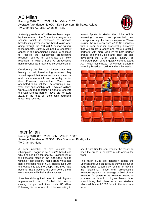#### AC Milan

Ranking 2010: 7th 2009: 7th Value: £167m Average Attendance: 41,600 Key Sponsors: Emirates, Adidas TV Channel: AC Milan Channel - Italy



A steady growth for AC Milan has been helped by their return to the Champions League last season, which is expected to increase broadcasting revenues and brand value after going through the 2008/2009 season without these benefits. But they will need to repeatedly appear in the Champions League to continue to receive the substantial broadcasting revenue required to counteract the likely reduction in Milan's Serie A broadcasting rights revenue as it returns to collective selling.

Considering the fact that Italian clubs rely heavily on their broadcasting revenues, they should expand their other sources (commercial and match-day) which are noticeably behind their European competitors. Milan have attempted to do just that by securing a fiveyear shirt sponsorship with Emirates airlines worth £51m and announcing plans to renovate the San Siro as part of Italy's bid for Euro 2016, in the hope of generating additional match-day revenue.

Infront Sports & Media, the club's official marketing partner, has presented new concepts to help the brand's exposure. These include the reduction from 42 to 32 sponsors with a clear, four-tier sponsorship hierarchy that will create stronger and more profitable partners, with more visibility for both partner brands and the club's brand. They are also developing the "Milan Media Factory", an integrated pool of top quality content about A.C. Milan customized for various platforms including broadcast, online and mobile media.



#### Inter Milan

Ranking 2010: 8th 2009: 9th Value: £160m Average Attendance: 52,500 Key Sponsors: Pirelli, Nike TV Channel: None



A clear indication of how valuable the Champions League is to a club's brand and why it should be a top priority. Having fallen at the knockout stage in the 2008/2009 cup to winning it last season, Inter's brand value has had a meteoric rise of 60%. Helped also with the league title and the Coppa Italia they have become, like Barcelona the year before them, world renown with their treble success.

Jose Mourinho guided Inter to their highest appearance in the top football club brands, closing the gap with their rivals AC Milan. Following his departure, it will be interesting to

see if Rafa Benitez can emulate the results to keep the brand in people's minds across the world.

The Italian clubs are generally behind the Spanish and English because they miss out on huge revenue streams by renting not owning their stadiums, hence their broadcasting revenues equate to an average of 60% of total revenue. To generate the revenue needed to promote the brand to higher levels, Inter should bring their plans for a new stadium, which will house 60,000 fans, to the fore once more.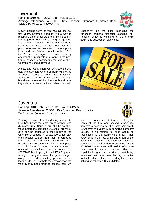# **Liverpool**

Ranking 2010: 9th 2009: 8th Value: £141m Average Attendance: 43,300 Key Sponsors: Standard Chartered Bank, Adidas TV Channel: LFCTV - UK

Slowly slipping down the rankings over the last few years, Liverpool need to find a way to recapture their former stature. Finishing 2nd in the league in 2009 and reaching the quarterfinal of the Champions League has helped to keep the brand stable this year. However, their poor performances last season, a 6th place finish and their failure to reach the last 16 in the Champions league, will have seriously affected their prospects of growing in the near future, especially considering the loss of their Champions League revenue.

A new and vastly improved shirt sponsorship deal with Standard Chartered Bank will provide a needed boost to commercial revenues. Standard Chartered Bank touted the high brand awareness of the Liverpool brand in its key Asian markets as a driver behind the deal.



Uncertainty off the pitch regarding the American owner's financial standing still remains, which is weighing on the brand's equity and subsequent club value.



#### Juventus

Ranking 2010: 10th 2009: 9th Value: £127m Average Attendance: 23,900 Key Sponsors: Betclick, Nike TV Channel: Juventus Channel - Italy



Starting to recover from the damage caused to their brand from the match fixing scandal and dismissal from Serie A but still below their value before the demotion. Juventus' growth of 37% can be attributed to their return to the Champions League in 2008/2009 which saw them receive £18.8m from their progress to the last 16 and hence increased their broadcasting revenue by 24%. A 2nd place finish in Serie A during the same season ensured Champions League entry for 2009/2010 but dropping to the UEFA Cup after failing to progress from the group stages, along with a disappointing position in the league (7th), will not help their recovery as the visibility they need starts to escape them. An

innovative commercial strategy of splitting the rights of the first and second jersey has attracted a new deal for the home shirt worth €16m over two years with gambling company Betclic. In an attempt to once again be recognised as the iconic club in Italy their away kit is in the red, white and green of the Italian flag. Juventus have been constructing a new stadium which is due to be ready for the 2011/2012 season and will hold 13,000 more fans than its current stadium. This will hopefully bring about the kind of match-day revenues that have been lacking in Italian football and keep the once leading Italian side fighting off other top 10 candidates.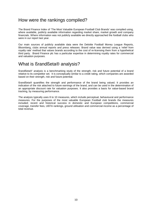### How were the rankings compiled?

The Brand Finance Index of 'The Most Valuable European Football Club Brands' was compiled using, where available, publicly available information regarding market share, market growth and company financials. Where information was not publicly available we directly approached the football clubs who were in our report last year.

Our main sources of publicly available data were the Deloitte Football Money League Reports, Bloomberg, clubs annual reports and press releases. Brand value was derived using a 'relief from royalty rate' method that values brands according to the cost of re-licensing them from a hypothetical third party. Brand Finance plc has a particular expertise in determining royalty rates for commercial and valuation purposes.

### What is ßrandßeta® analysis?

ßrandßeta®' analysis is a benchmarking study of the strength, risk and future potential of a brand relative to its competitor set. It is conceptually similar to a credit rating, which companies are awarded based on their strength, risk and future potential.

ßrandßeta® quantifies the strength and performance of the brand being valued. It provides an indication of the risk attached to future earnings of the brand, and can be used in the determination of an appropriate discount rate for valuation purposes. It also provides a basis for value-based brand tracking, by measuring performance.

The analysis typically uses 8 to 10 measures, which include perceptual, behavioural and performance measures. For the purposes of the most valuable European Football club brands the measures included; recent and historical success in domestic and European competitions, commercial coverage, transfer fees, UEFA rankings, ground utilisation and commercial income as a percentage of total revenue.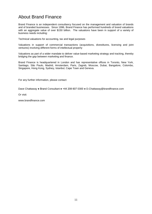# About Brand Finance

Brand Finance is an independent consultancy focused on the management and valuation of brands and of branded businesses. Since 1996, Brand Finance has performed hundreds of brand valuations with an aggregate value of over \$150 billion. The valuations have been in support of a variety of business needs including:

Technical valuations for accounting, tax and legal purposes

Valuations in support of commercial transactions (acquisitions, divestitures, licensing and joint ventures) involving different forms of intellectual property

Valuations as part of a wider mandate to deliver value-based marketing strategy and tracking, thereby bridging the gap between marketing and finance.

Brand Finance is headquartered in London and has representative offices in Toronto, New York, Santiago, São Paulo, Madrid, Amsterdam, Paris, Zagreb, Moscow, Dubai, Bangalore, Colombo, Singapore, Hong Kong, Sydney, Istanbul, Cape Town and Geneva.

For any further information, please contact:

Dave Chattaway ● Brand Consultant ● +44 208 607 0300 ● D.Chattaway@brandfinance.com

Or visit:

www.brandfinance.com